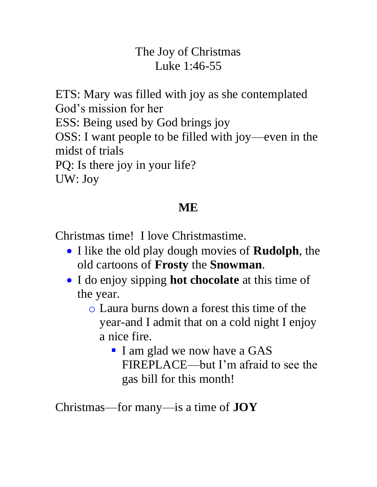#### The Joy of Christmas Luke 1:46-55

ETS: Mary was filled with joy as she contemplated God's mission for her ESS: Being used by God brings joy OSS: I want people to be filled with joy—even in the midst of trials PQ: Is there joy in your life? UW: Joy

### **ME**

Christmas time! I love Christmastime.

- I like the old play dough movies of **Rudolph**, the old cartoons of **Frosty** the **Snowman**.
- I do enjoy sipping **hot chocolate** at this time of the year.
	- o Laura burns down a forest this time of the year-and I admit that on a cold night I enjoy a nice fire.
		- I am glad we now have a GAS FIREPLACE—but I'm afraid to see the gas bill for this month!

Christmas—for many—is a time of **JOY**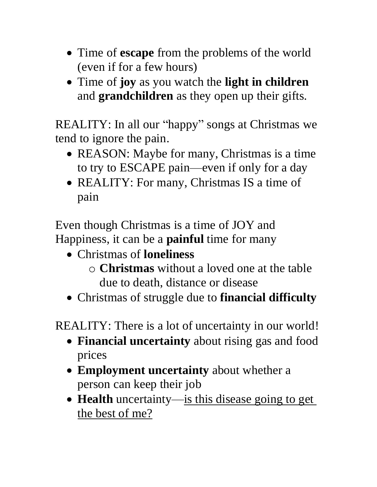- Time of **escape** from the problems of the world (even if for a few hours)
- Time of **joy** as you watch the **light in children** and **grandchildren** as they open up their gifts.

REALITY: In all our "happy" songs at Christmas we tend to ignore the pain.

- REASON: Maybe for many, Christmas is a time to try to ESCAPE pain—even if only for a day
- REALITY: For many, Christmas IS a time of pain

Even though Christmas is a time of JOY and Happiness, it can be a **painful** time for many

- Christmas of **loneliness**
	- o **Christmas** without a loved one at the table due to death, distance or disease
- Christmas of struggle due to **financial difficulty**

REALITY: There is a lot of uncertainty in our world!

- **Financial uncertainty** about rising gas and food prices
- **Employment uncertainty** about whether a person can keep their job
- **Health** uncertainty—is this disease going to get the best of me?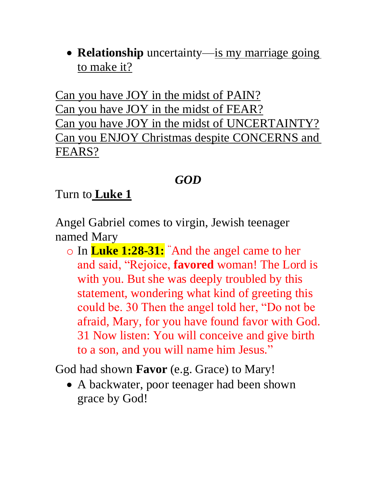• **Relationship** uncertainty—is my marriage going to make it?

Can you have JOY in the midst of PAIN? Can you have JOY in the midst of FEAR? Can you have JOY in the midst of UNCERTAINTY? Can you ENJOY Christmas despite CONCERNS and FEARS?

### *GOD*

#### Turn to **Luke 1**

Angel Gabriel comes to virgin, Jewish teenager named Mary

o In **Luke 1:28-31:** "And the angel came to her and said, "Rejoice, **favored** woman! The Lord is with you. But she was deeply troubled by this statement, wondering what kind of greeting this could be. 30 Then the angel told her, "Do not be afraid, Mary, for you have found favor with God. 31 Now listen: You will conceive and give birth to a son, and you will name him Jesus."

God had shown **Favor** (e.g. Grace) to Mary!

• A backwater, poor teenager had been shown grace by God!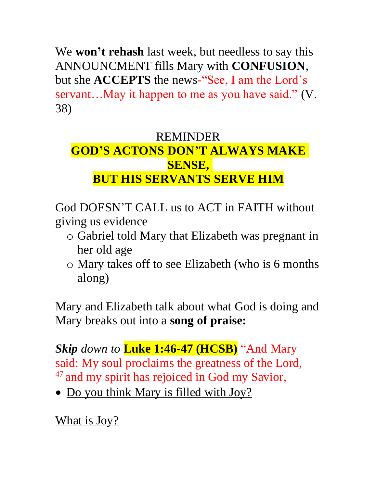We **won't rehash** last week, but needless to say this ANNOUNCMENT fills Mary with **CONFUSION**, but she **ACCEPTS** the news-"See, I am the Lord's servant...May it happen to me as you have said." (V. 38)

## REMINDER **GOD'S ACTONS DON'T ALWAYS MAKE SENSE, BUT HIS SERVANTS SERVE HIM**

God DOESN'T CALL us to ACT in FAITH without giving us evidence

- o Gabriel told Mary that Elizabeth was pregnant in her old age
- o Mary takes off to see Elizabeth (who is 6 months along)

Mary and Elizabeth talk about what God is doing and Mary breaks out into a **song of praise:** 

*Skip down to* **Luke 1:46-47 (HCSB)** "And Mary said: My soul proclaims the greatness of the Lord, <sup>47</sup> and my spirit has rejoiced in God my Savior,

• Do you think Mary is filled with Joy?

What is Joy?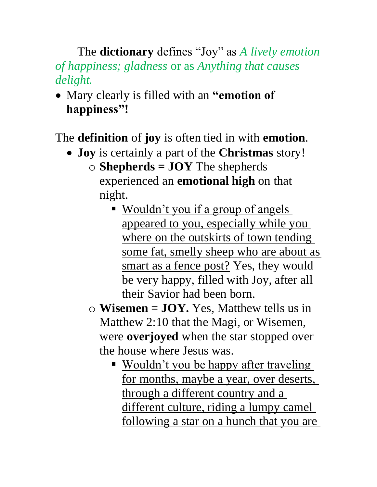The **dictionary** defines "Joy" as *A lively emotion of happiness; gladness* or as *Anything that causes delight.*

• Mary clearly is filled with an **"emotion of happiness"!**

The **definition** of **joy** is often tied in with **emotion**.

- **Joy** is certainly a part of the **Christmas** story!
	- o **Shepherds = JOY** The shepherds experienced an **emotional high** on that night.
		- Wouldn't you if a group of angels appeared to you, especially while you where on the outskirts of town tending some fat, smelly sheep who are about as smart as a fence post? Yes, they would be very happy, filled with Joy, after all their Savior had been born.
	- o **Wisemen = JOY.** Yes, Matthew tells us in Matthew 2:10 that the Magi, or Wisemen, were **overjoyed** when the star stopped over the house where Jesus was.
		- Wouldn't you be happy after traveling for months, maybe a year, over deserts, through a different country and a different culture, riding a lumpy camel following a star on a hunch that you are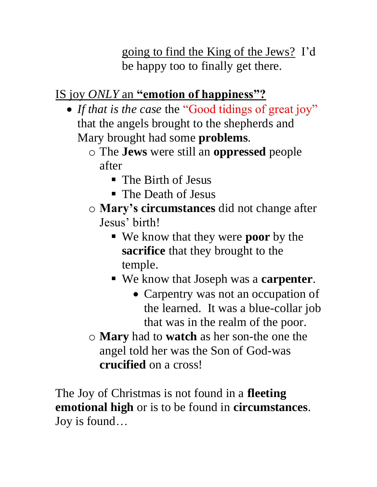going to find the King of the Jews? I'd be happy too to finally get there.

# IS joy *ONLY* an **"emotion of happiness"?**

- *If that is the case* the "Good tidings of great joy" that the angels brought to the shepherds and Mary brought had some **problems**.
	- o The **Jews** were still an **oppressed** people after
		- The Birth of Jesus
		- The Death of Jesus
	- o **Mary's circumstances** did not change after Jesus' birth!
		- We know that they were **poor** by the **sacrifice** that they brought to the temple.
		- We know that Joseph was a **carpenter**.
			- Carpentry was not an occupation of the learned. It was a blue-collar job that was in the realm of the poor.
	- o **Mary** had to **watch** as her son-the one the angel told her was the Son of God-was **crucified** on a cross!

The Joy of Christmas is not found in a **fleeting emotional high** or is to be found in **circumstances**. Joy is found…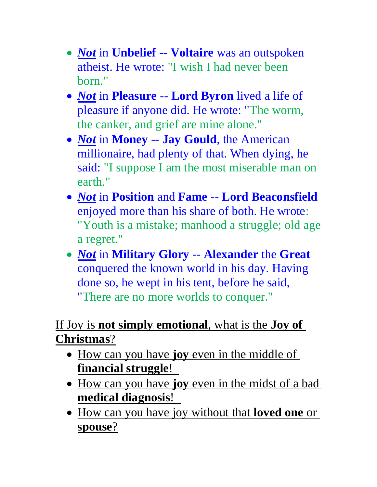- *Not* in **Unbelief** -- **Voltaire** was an outspoken atheist. He wrote: "I wish I had never been born."
- *Not* in **Pleasure** -- **Lord Byron** lived a life of pleasure if anyone did. He wrote: "The worm, the canker, and grief are mine alone."
- *Not* in **Money** -- **Jay Gould**, the American millionaire, had plenty of that. When dying, he said: "I suppose I am the most miserable man on earth."
- *Not* in **Position** and **Fame** -- **Lord Beaconsfield** enjoyed more than his share of both. He wrote: "Youth is a mistake; manhood a struggle; old age a regret."
- *Not* in **Military Glory** -- **Alexander** the **Great** conquered the known world in his day. Having done so, he wept in his tent, before he said, "There are no more worlds to conquer."

## If Joy is **not simply emotional**, what is the **Joy of Christmas**?

- How can you have **joy** even in the middle of **financial struggle**!
- How can you have **joy** even in the midst of a bad **medical diagnosis**!
- How can you have joy without that **loved one** or **spouse**?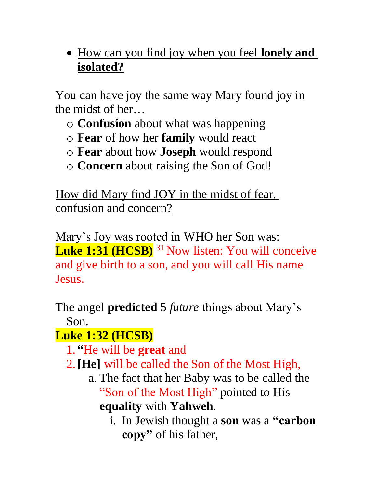• How can you find joy when you feel **lonely and isolated?**

You can have joy the same way Mary found joy in the midst of her…

- o **Confusion** about what was happening
- o **Fear** of how her **family** would react
- o **Fear** about how **Joseph** would respond
- o **Concern** about raising the Son of God!

How did Mary find JOY in the midst of fear, confusion and concern?

Mary's Joy was rooted in WHO her Son was: **Luke 1:31 (HCSB)** <sup>31</sup> Now listen: You will conceive and give birth to a son, and you will call His name Jesus.

The angel **predicted** 5 *future* things about Mary's Son.

# **Luke 1:32 (HCSB)**

- 1. **"**He will be **great** and
- 2.**[He]** will be called the Son of the Most High,
	- a. The fact that her Baby was to be called the "Son of the Most High" pointed to His **equality** with **Yahweh**.
		- i. In Jewish thought a **son** was a **"carbon copy"** of his father,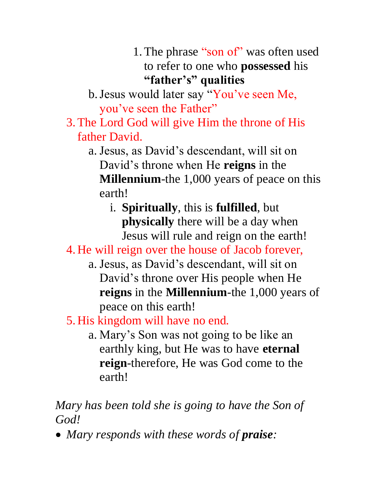- 1.The phrase "son of" was often used to refer to one who **possessed** his **"father's" qualities**
- b.Jesus would later say "You've seen Me, you've seen the Father"
- 3.The Lord God will give Him the throne of His father David.
	- a. Jesus, as David's descendant, will sit on David's throne when He **reigns** in the **Millennium**-the 1,000 years of peace on this earth!
		- i. **Spiritually**, this is **fulfilled**, but **physically** there will be a day when Jesus will rule and reign on the earth!
- 4. He will reign over the house of Jacob forever,
	- a. Jesus, as David's descendant, will sit on David's throne over His people when He **reigns** in the **Millennium**-the 1,000 years of peace on this earth!
- 5. His kingdom will have no end.
	- a. Mary's Son was not going to be like an earthly king, but He was to have **eternal reign**-therefore, He was God come to the earth!

*Mary has been told she is going to have the Son of God!*

• *Mary responds with these words of praise:*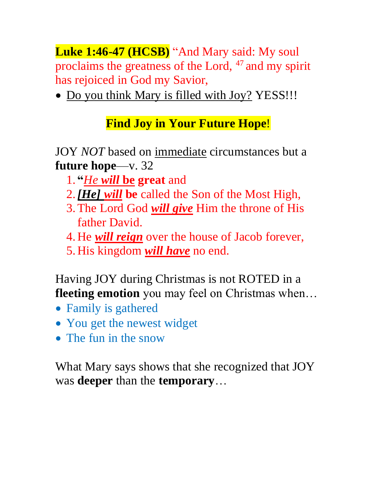**Luke 1:46-47 (HCSB)** "And Mary said: My soul proclaims the greatness of the Lord, <sup>47</sup> and my spirit has rejoiced in God my Savior,

• Do you think Mary is filled with Joy? YESS!!!

### **Find Joy in Your Future Hope**!

JOY *NOT* based on immediate circumstances but a **future hope**—v. 32

- 1. **"***He will* **be great** and
- 2.*[He] will* **be** called the Son of the Most High,
- 3.The Lord God *will give* Him the throne of His father David.
- 4. He *will reign* over the house of Jacob forever,
- 5. His kingdom *will have* no end.

Having JOY during Christmas is not ROTED in a **fleeting emotion** you may feel on Christmas when…

- Family is gathered
- You get the newest widget
- The fun in the snow

What Mary says shows that she recognized that JOY was **deeper** than the **temporary**…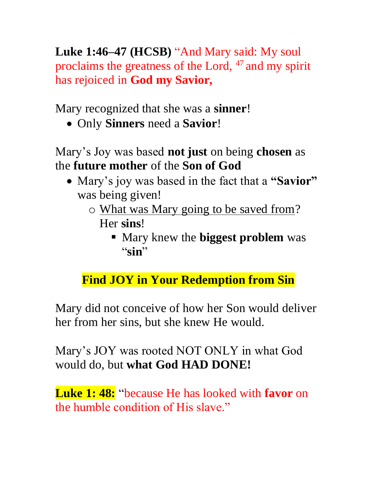**Luke 1:46–47 (HCSB)** "And Mary said: My soul proclaims the greatness of the Lord, <sup>47</sup> and my spirit has rejoiced in **God my Savior,**

Mary recognized that she was a **sinner**!

• Only **Sinners** need a **Savior**!

Mary's Joy was based **not just** on being **chosen** as the **future mother** of the **Son of God**

- Mary's joy was based in the fact that a **"Savior"**  was being given!
	- o What was Mary going to be saved from? Her **sins**!
		- Mary knew the **biggest problem** was "**sin**"

### **Find JOY in Your Redemption from Sin**

Mary did not conceive of how her Son would deliver her from her sins, but she knew He would.

Mary's JOY was rooted NOT ONLY in what God would do, but **what God HAD DONE!**

**Luke 1: 48:** "because He has looked with **favor** on the humble condition of His slave."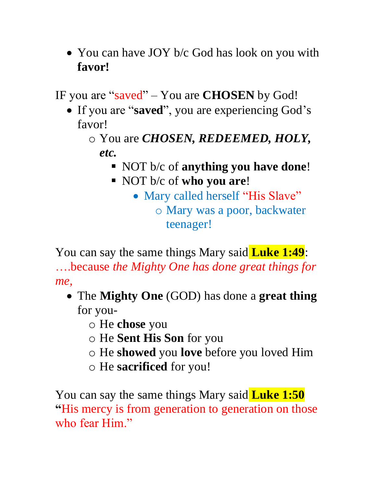• You can have JOY b/c God has look on you with **favor!**

IF you are "saved" – You are **CHOSEN** by God!

- If you are "**saved**", you are experiencing God's favor!
	- o You are *CHOSEN, REDEEMED, HOLY, etc.*
		- NOT b/c of **anything you have done**!
		- NOT b/c of **who you are**!
			- Mary called herself "His Slave" o Mary was a poor, backwater teenager!

You can say the same things Mary said **Luke 1:49**:

….because *the Mighty One has done great things for me,*

- The **Mighty One** (GOD) has done a **great thing** for you
	- o He **chose** you
	- o He **Sent His Son** for you
	- o He **showed** you **love** before you loved Him
	- o He **sacrificed** for you!

You can say the same things Mary said **Luke 1:50 "**His mercy is from generation to generation on those who fear Him."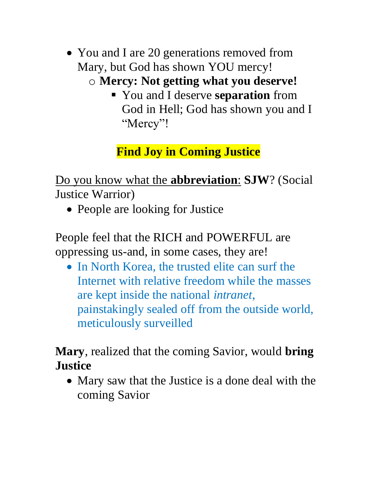• You and I are 20 generations removed from Mary, but God has shown YOU mercy! o **Mercy: Not getting what you deserve!**

> ▪ You and I deserve **separation** from God in Hell; God has shown you and I "Mercy"!

**Find Joy in Coming Justice**

Do you know what the **abbreviation**: **SJW**? (Social Justice Warrior)

• People are looking for Justice

People feel that the RICH and POWERFUL are oppressing us-and, in some cases, they are!

• In North Korea, the trusted elite can surf the Internet with relative freedom while the masses are kept inside the national *intranet*, painstakingly sealed off from the outside world, meticulously surveilled

**Mary**, realized that the coming Savior, would **bring Justice**

• Mary saw that the Justice is a done deal with the coming Savior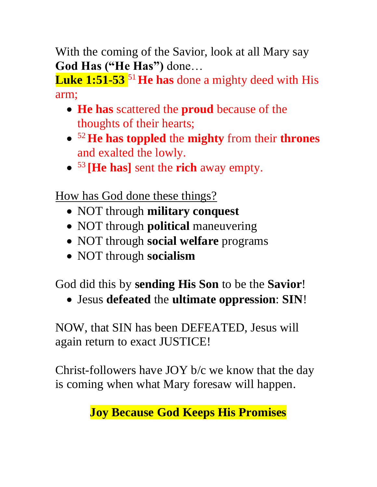With the coming of the Savior, look at all Mary say **God Has ("He Has")** done…

**Luke 1:51-53** <sup>51</sup> **He has** done a mighty deed with His arm;

- **He has** scattered the **proud** because of the thoughts of their hearts;
- <sup>52</sup> **He has toppled** the **mighty** from their **thrones** and exalted the lowly.
- <sup>53</sup> **[He has]** sent the **rich** away empty.

How has God done these things?

- NOT through **military conquest**
- NOT through **political** maneuvering
- NOT through **social welfare** programs
- NOT through **socialism**

God did this by **sending His Son** to be the **Savior**!

• Jesus **defeated** the **ultimate oppression**: **SIN**!

NOW, that SIN has been DEFEATED, Jesus will again return to exact JUSTICE!

Christ-followers have JOY b/c we know that the day is coming when what Mary foresaw will happen.

# **Joy Because God Keeps His Promises**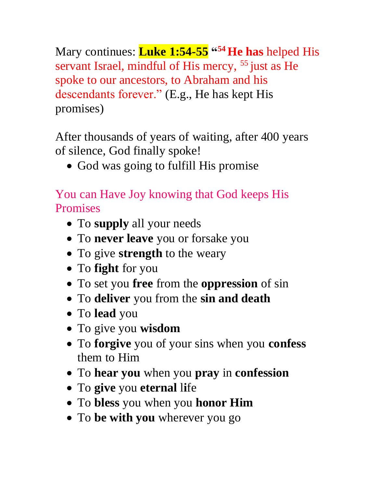Mary continues: **Luke 1:54-55 " <sup>54</sup> He has** helped His servant Israel, mindful of His mercy, <sup>55</sup> just as He spoke to our ancestors, to Abraham and his descendants forever." (E.g., He has kept His promises)

After thousands of years of waiting, after 400 years of silence, God finally spoke!

• God was going to fulfill His promise

You can Have Joy knowing that God keeps His Promises

- To **supply** all your needs
- To **never leave** you or forsake you
- To give **strength** to the weary
- To **fight** for you
- To set you **free** from the **oppression** of sin
- To **deliver** you from the **sin and death**
- To **lead** you
- To give you **wisdom**
- To **forgive** you of your sins when you **confess** them to Him
- To **hear you** when you **pray** in **confession**
- To **give** you **eternal** l**i**fe
- To **bless** you when you **honor Him**
- To **be with you** wherever you go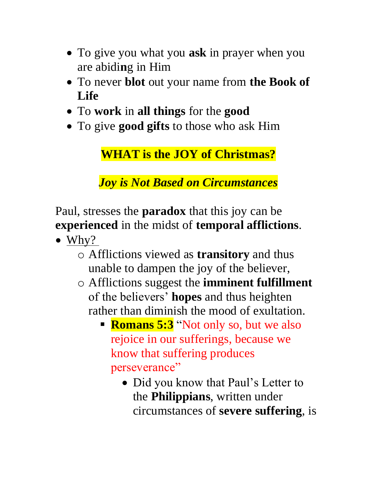- To give you what you **ask** in prayer when you are abidi**n**g in Him
- To never **blot** out your name from **the Book of Life**
- To **work** in **all things** for the **good**
- To give **good gifts** to those who ask Him

**WHAT is the JOY of Christmas?**

*Joy is Not Based on Circumstances*

Paul, stresses the **paradox** that this joy can be **experienced** in the midst of **temporal afflictions**.

- Why?
	- o Afflictions viewed as **transitory** and thus unable to dampen the joy of the believer,
	- o Afflictions suggest the **imminent fulfillment** of the believers' **hopes** and thus heighten rather than diminish the mood of exultation.
		- **Romans 5:3** "Not only so, but we also rejoice in our sufferings, because we know that suffering produces perseverance"
			- Did you know that Paul's Letter to the **Philippians**, written under circumstances of **severe suffering**, is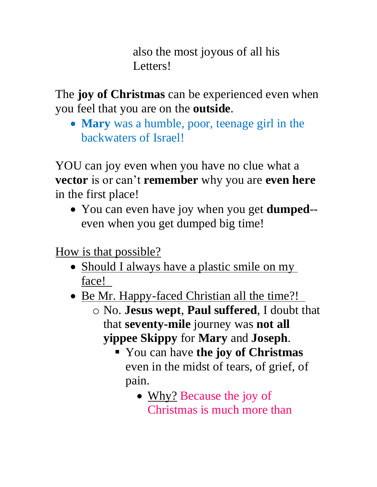also the most joyous of all his Letters!

The **joy of Christmas** can be experienced even when you feel that you are on the **outside**.

• **Mary** was a humble, poor, teenage girl in the backwaters of Israel!

YOU can joy even when you have no clue what a **vector** is or can't **remember** why you are **even here** in the first place!

• You can even have joy when you get **dumped**- even when you get dumped big time!

How is that possible?

- Should I always have a plastic smile on my face!
- <u>Be Mr. Happy-faced Christian all the time?!</u>
	- o No. **Jesus wept**, **Paul suffered**, I doubt that that **seventy-mile** journey was **not all yippee Skippy** for **Mary** and **Joseph**.
		- You can have **the joy of Christmas** even in the midst of tears, of grief, of pain.
			- Why? Because the joy of Christmas is much more than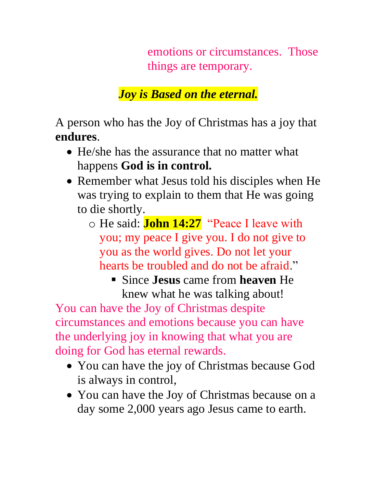emotions or circumstances. Those things are temporary.

*Joy is Based on the eternal.*

A person who has the Joy of Christmas has a joy that **endures**.

- He/she has the assurance that no matter what happens **God is in control.**
- Remember what Jesus told his disciples when He was trying to explain to them that He was going to die shortly.
	- o He said: **John 14:27** "Peace I leave with you; my peace I give you. I do not give to you as the world gives. Do not let your hearts be troubled and do not be afraid."
		- Since **Jesus** came from **heaven** He knew what he was talking about!

You can have the Joy of Christmas despite circumstances and emotions because you can have the underlying joy in knowing that what you are doing for God has eternal rewards.

- You can have the joy of Christmas because God is always in control,
- You can have the Joy of Christmas because on a day some 2,000 years ago Jesus came to earth.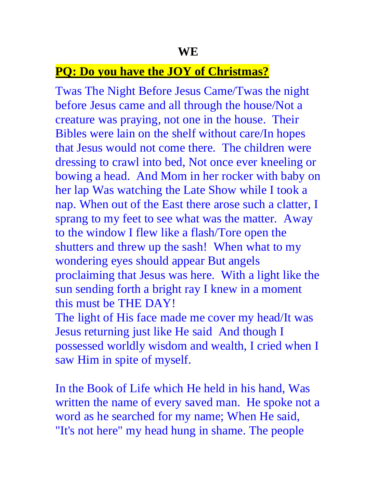#### **PQ: Do you have the JOY of Christmas?**

Twas The Night Before Jesus Came/Twas the night before Jesus came and all through the house/Not a creature was praying, not one in the house. Their Bibles were lain on the shelf without care/In hopes that Jesus would not come there. The children were dressing to crawl into bed, Not once ever kneeling or bowing a head. And Mom in her rocker with baby on her lap Was watching the Late Show while I took a nap. When out of the East there arose such a clatter, I sprang to my feet to see what was the matter. Away to the window I flew like a flash/Tore open the shutters and threw up the sash! When what to my wondering eyes should appear But angels proclaiming that Jesus was here. With a light like the sun sending forth a bright ray I knew in a moment this must be THE DAY! The light of His face made me cover my head/It was

Jesus returning just like He said And though I possessed worldly wisdom and wealth, I cried when I saw Him in spite of myself.

In the Book of Life which He held in his hand, Was written the name of every saved man. He spoke not a word as he searched for my name; When He said, "It's not here" my head hung in shame. The people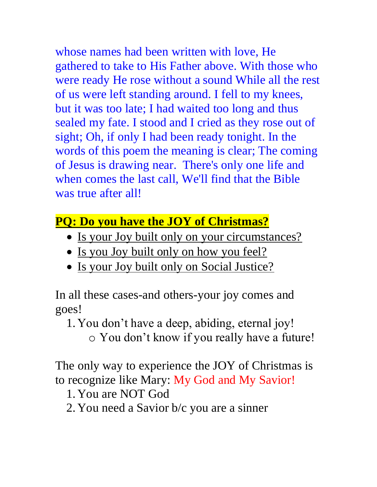whose names had been written with love, He gathered to take to His Father above. With those who were ready He rose without a sound While all the rest of us were left standing around. I fell to my knees, but it was too late; I had waited too long and thus sealed my fate. I stood and I cried as they rose out of sight; Oh, if only I had been ready tonight. In the words of this poem the meaning is clear; The coming of Jesus is drawing near. There's only one life and when comes the last call, We'll find that the Bible was true after all!

## **PQ: Do you have the JOY of Christmas?**

- Is your Joy built only on your circumstances?
- Is you Joy built only on how you feel?
- Is your Joy built only on Social Justice?

In all these cases-and others-your joy comes and goes!

- 1. You don't have a deep, abiding, eternal joy!
	- o You don't know if you really have a future!

The only way to experience the JOY of Christmas is to recognize like Mary: My God and My Savior!

- 1. You are NOT God
- 2. You need a Savior b/c you are a sinner